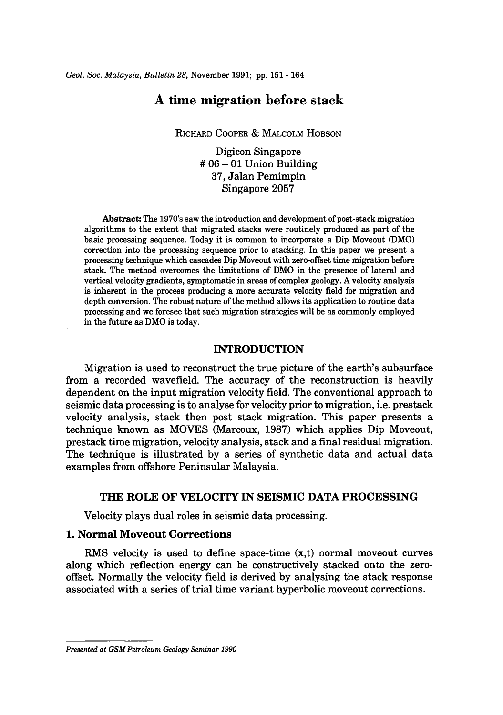# **A time migration before stack**

RICHARD COOPER & MALCOLM HOBSON

Digicon Singapore  $#06 - 01$  Union Building 37, Jalan Pemimpin Singapore 2057

Abstract: The 1970's saw the introduction and development of post-stack migration algorithms to the extent that migrated stacks were routinely produced as part of the basic processing sequence. Today it is common to incorporate a Dip Moveout (DMO) correction into the processing sequence prior to stacking. In this paper we present a processing technique which cascades Dip Moveout with zero-offset time migration before stack. The method overcomes the limitations of DMO in the presence of lateral and vertical velocity gradients, symptomatic in areas of complex geology. A velocity analysis is inherent in the process producing a more accurate velocity field for migration and depth conversion. The robust nature of the method allows its application to routine data processing and we foresee that such migration strategies will be as commonly employed in the future as DMO is today.

### **INTRODUCTION**

Migration is used to reconstruct the true picture of the earth's subsurface from a recorded wavefield. The accuracy of the reconstruction is heavily dependent on the input migration velocity field. The conventional approach to seismic data processing is to analyse for velocity prior to migration, i.e. prestack velocity analysis, stack then post stack migration. This paper presents a technique known as MOVES (Marcoux, 1987) which applies Dip Moveout, prestack time migration, velocity analysis, stack and a final residual migration. The technique is illustrated by a series of synthetic data and actual data examples from offshore Peninsular Malaysia.

#### **THE ROLE OF VELOCITY IN SEISMIC DATA PROCESSING**

Velocity plays dual roles in seismic data processing.

### **1. Normal Moveout Corrections**

RMS velocity is used to define space-time  $(x,t)$  normal moveout curves along which reflection energy can be constructively stacked onto the zerooffset. Normally the velocity field is derived by analysing the stack response associated with a series of trial time variant hyperbolic moveout corrections.

*Presented at GSM Petroleum Geology Seminar 1990*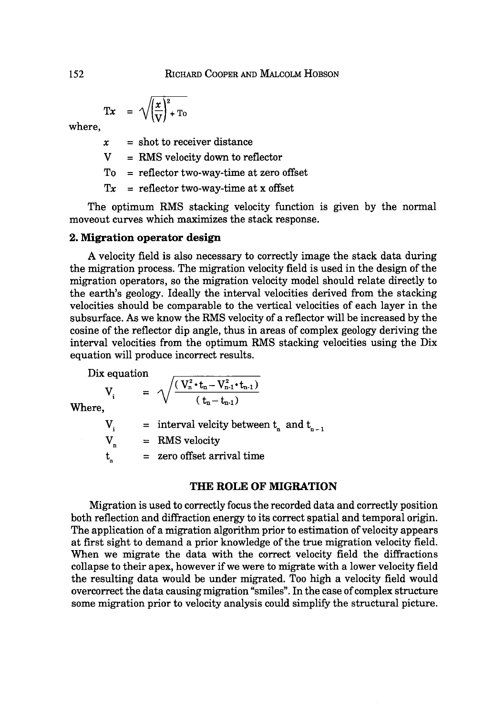$$
Tx = \sqrt{\left(\frac{x}{V}\right)^2 + T_0}
$$

where,

 $x =$ shot to receiver distance

 $V = RMS$  velocity down to reflector

To = reflector two-way-time at zero offset

 $Tx =$  reflector two-way-time at x offset

The optimum RMS stacking velocity function is given by the normal moveout curves which maximizes the stack response.

## 2. Migration operator design

A velocity field is also necessary to correctly image the stack data during the migration process. The migration velocity field is used in the design of the migration operators, so the migration velocity model should relate directly to the earth's geology. Ideally the interval velocities derived from the stacking velocities should be comparable to the vertical velocities of each layer in the subsurface. As we know the RMS velocity of a reflector will be increased by the cosine of the reflector dip angle, thus in areas of complex geology deriving the interval velocities from the optimum RMS stacking velocities using the Dix equation will produce incorrect results.

Dix equation

equation  

$$
V_i = \sqrt{\frac{(V_n^2 \cdot t_n - V_{n-1}^2 \cdot t_{n-1})}{(t_n - t_{n-1})}}
$$

Where,

$$
V_i = interval velocity between tn and tn-1
$$
  
\n
$$
V_n = RMS velocity
$$
  
\n
$$
t_n = zero offset arrival time
$$

### THE ROLE OF MIGRATION

Migration is used to correctly focus the recorded data and correctly position both reflection and diffraction energy to its correct spatial and temporal origin. The application of a migration algorithm prior to estimation of velocity appears at first sight to demand a prior knowledge of the true migration velocity field. When we migrate the data with the correct velocity field the diffractions collapse to their apex, however if we were to migrate with a lower velocity field the resulting data would be under migrated. Too high a velocity field would overcorrect the data causing migration "smiles". In the case of complex structure some migration prior to velocity analysis could simplify the structural picture.

152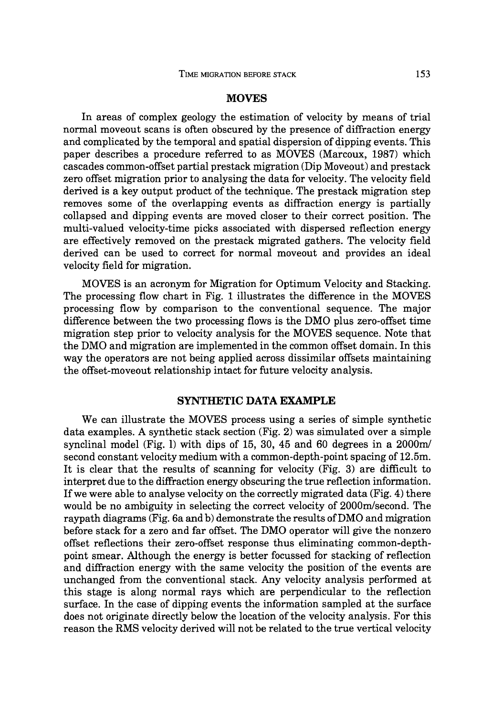#### **MOVES**

In areas of complex geology the estimation of velocity by means of trial normal moveout scans is often obscured by the presence of diffraction energy and complicated by the temporal and spatial dispersion of dipping events. This paper describes a procedure referred to as MOVES (Marcoux, 1987) which cascades common-offset partial prestack migration (Dip Moveout) and prestack zero offset migration prior to analysing the data for velocity. The velocity field derived is a key output product of the technique. The prestack migration step removes some of the overlapping events as diffraction energy is partially collapsed and dipping events are moved closer to their correct position. The multi-valued velocity-time picks associated with dispersed reflection energy are effectively removed on the prestack migrated gathers. The velocity field derived can be used to correct for normal moveout and provides an ideal velocity field for migration.

MOVES is an acronym for Migration for Optimum Velocity and Stacking. The processing flow chart in Fig. 1 illustrates the difference in the MOVES processing flow by comparison to the conventional sequence. The major difference between the two processing flows is the DMO plus zero-offset time migration step prior to velocity analysis for the MOVES sequence. Note that the DMO and migration are implemented in the common offset domain. In this way the operators are not being applied across dissimilar offsets maintaining the offset-moveout relationship intact for future velocity analysis.

#### **SYNTHETIC DATA EXAMPLE**

We can illustrate the MOVES process using a series of simple synthetic data examples. A synthetic stack section (Fig. 2) was simulated over a simple synclinal model (Fig. 1) with dips of 15, 30, 45 and 60 degrees in a *2000ml*  second constant velocity medium with a common-depth-point spacing of 12.5m. It is clear that the results of scanning for velocity (Fig. 3) are difficult to interpret due to the diffraction energy obscuring the true reflection information. If we were able to analyse velocity on the correctly migrated data (Fig. 4) there would be no ambiguity in selecting the correct velocity of 2000m/second. The raypath diagrams (Fig. 6a and b) demonstrate the results of DMO and migration before stack for a zero and far offset. The DMO operator will give the nonzero offset reflections their zero-offset response thus eliminating common-depthpoint smear. Although the energy is better focussed for stacking of reflection and diffraction energy with the same velocity the position of the events are unchanged from the conventional stack. Any velocity analysis performed at this stage is along normal rays which are perpendicular to the reflection surface. In the case of dipping events the information sampled at the surface does not originate directly below the location of the velocity analysis. For this reason the RMS velocity derived will not be related to the true vertical velocity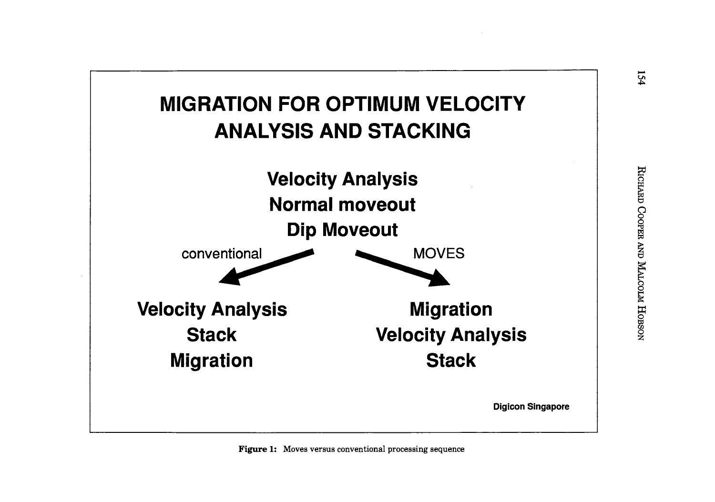



154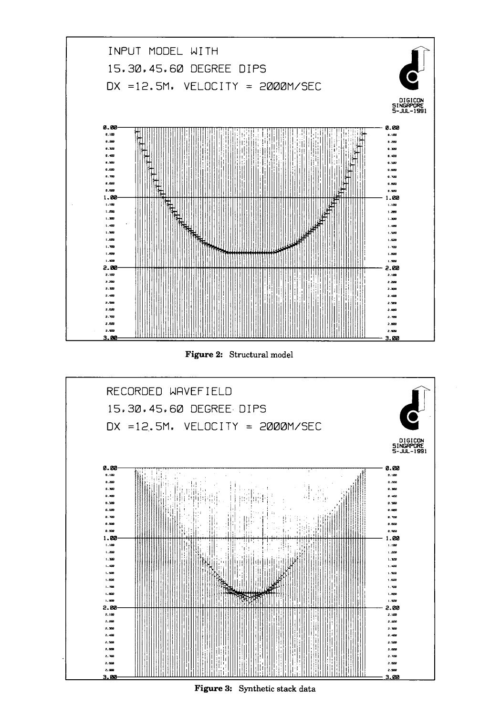

Figure 2: Structural model



Figure 3: Synthetic stack data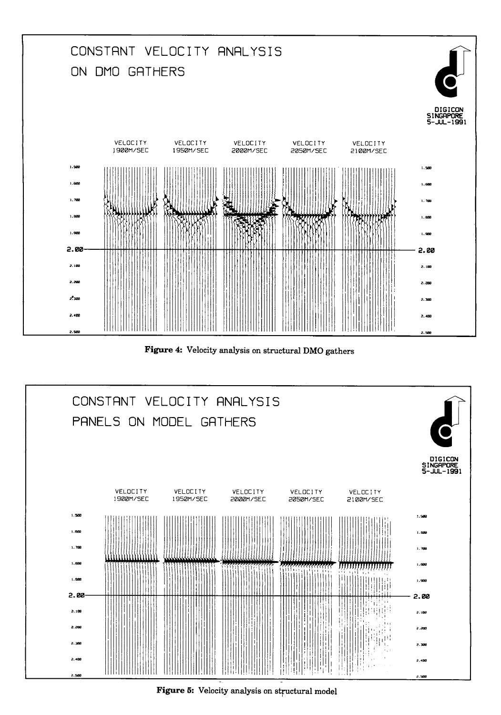

Figure 4: Velocity analysis on structural DMO gathers



Figure 5: Velocity analysis on structural model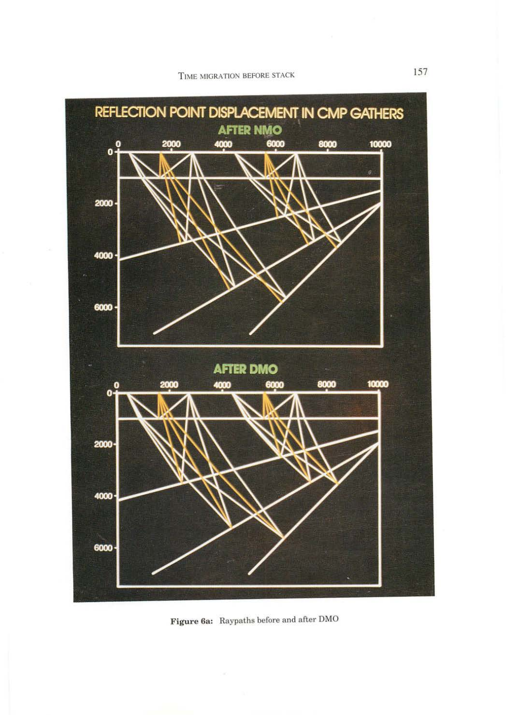

**Figure 6a:** Raypaths before and after DMO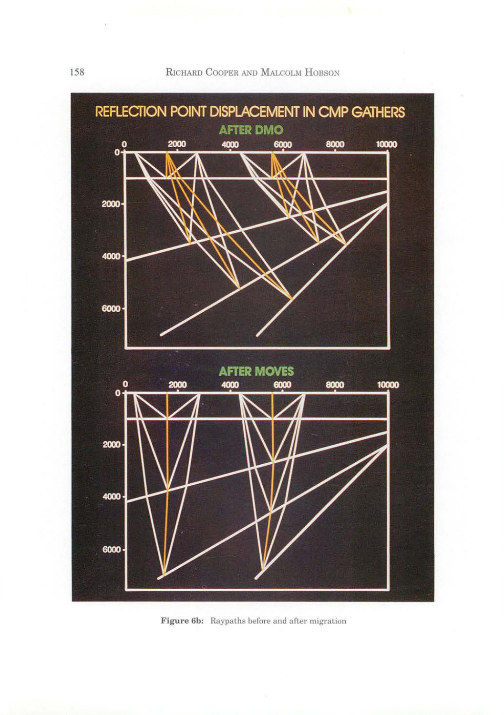

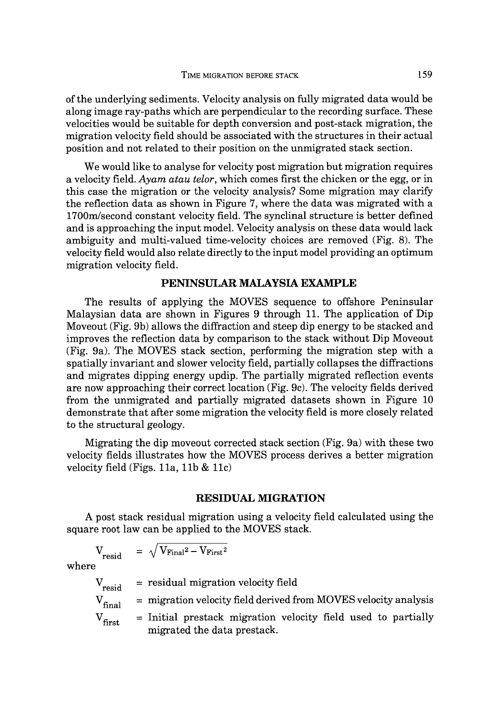of the underlying sediments. Velocity analysis on fully migrated data would be along image ray-paths which are perpendicular to the recording surface. These velocities would be suitable for depth conversion and post-stack migration, the migration velocity field should be associated with the structures in their actual position and not related to their position on the unmigrated stack section.

We would like to analyse for velocity post migration but migration requires a velocity field. *Ayam atau telor,* which comes first the chicken or the egg, or in this case the migration or the velocity analysis? Some migration may clarify the reflection data as shown in Figure 7, where the data was migrated with a 1700m/second constant velocity field. The synclinal structure is better defined and is approaching the input model. Velocity analysis on these data would lack ambiguity and multi-valued time-velocity choices are removed (Fig. 8). The velocity field would also relate directly to the input model providing an optimum migration velocity field.

# **PENINSULAR MALAYSIA EXAMPLE**

The results of applying the MOVES sequence to offshore Peninsular Malaysian data are shown in Figures 9 through 11. The application of Dip Moveout (Fig. 9b) allows the diffraction and steep dip energy to be stacked and improves the reflection data by comparison to the stack without Dip Moveout (Fig. 9a). The MOVES stack section, performing the migration step with a spatially invariant and slower velocity field, partially collapses the diffractions and migrates dipping energy updip. The partially migrated reflection events are now approaching their correct location (Fig. 9c). The velocity fields derived from the unmigrated and partially migrated datasets shown in Figure 10 demonstrate that after some migration the velocity field is more closely related to the structural geology.

Migrating the dip moveout corrected stack section (Fig. 9a) with these two velocity fields illustrates how the MOVES process derives a better migration velocity field (Figs. 11a, 11b & 11c)

### **RESIDUAL MIGRATION**

A post stack residual migration using a velocity field calculated using the square root law can be applied to the MOVES stack.

$$
V_{resid} = \sqrt{V_{Final}^2 - V_{First}^2}
$$

where

 $V_{\text{resid}}$  $V_{final}$  $V_{\rm first}$ = residual migration velocity field = migration velocity field derived from MOVES velocity analysis = Initial prestack migration velocity field used to partially migrated the data prestack.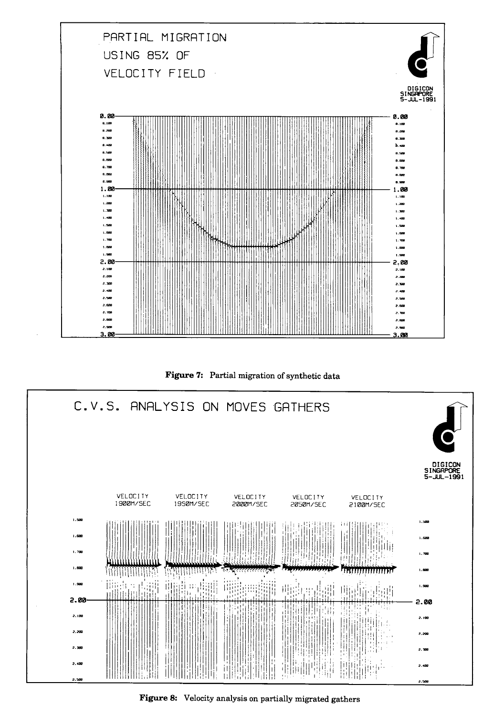





Figure 8: Velocity analysis on partially migrated gathers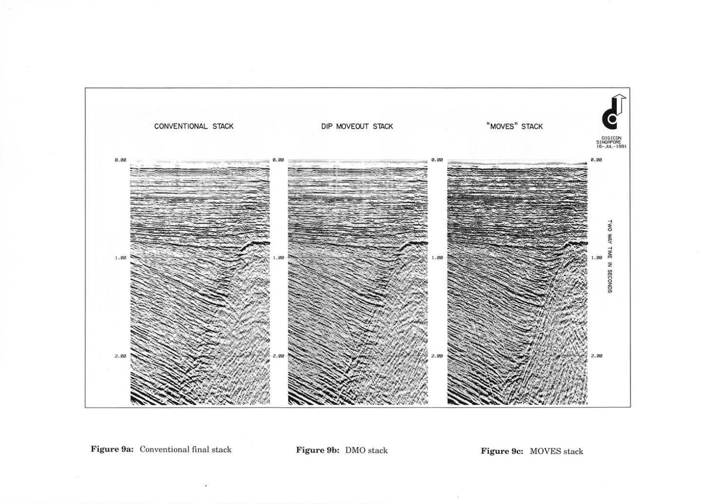

Figure 9a: Conventional final stack

Figure 9b: DMO stack

Figure 9c: MOVES stack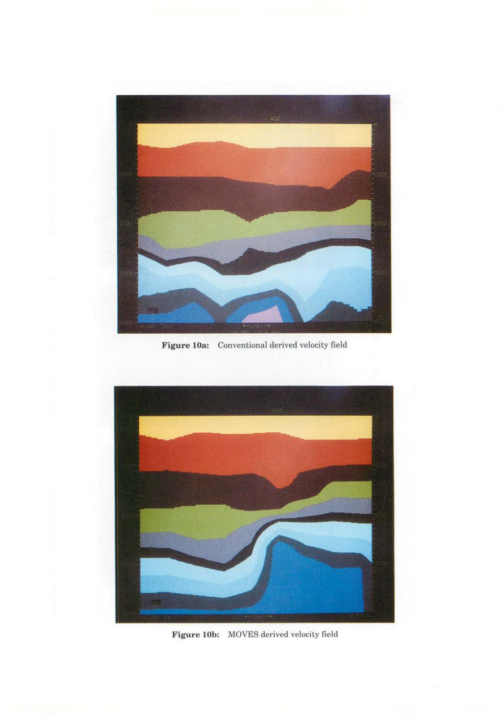

**Figure lOa:** Conventional derived velocity field



Figure 10b: MOVES derived velocity field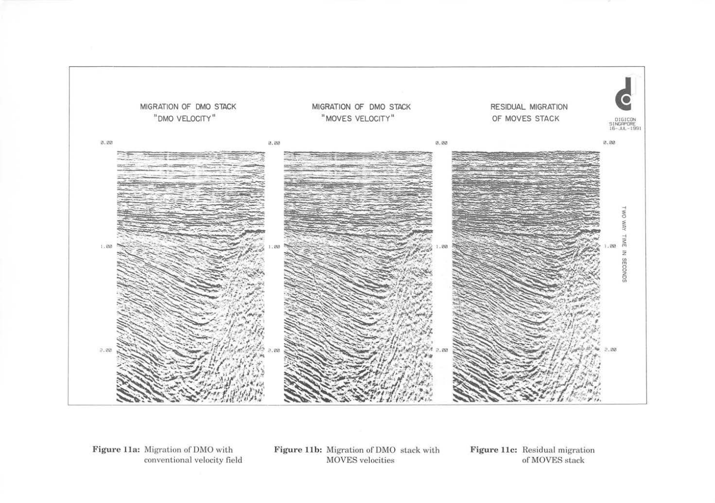

Figure 11a: Migration of DMO with conventional velocity field

Figure 11b: Migration of DMO stack with **MOVES** velocities

Figure 11c: Residual migration of MOVES stack